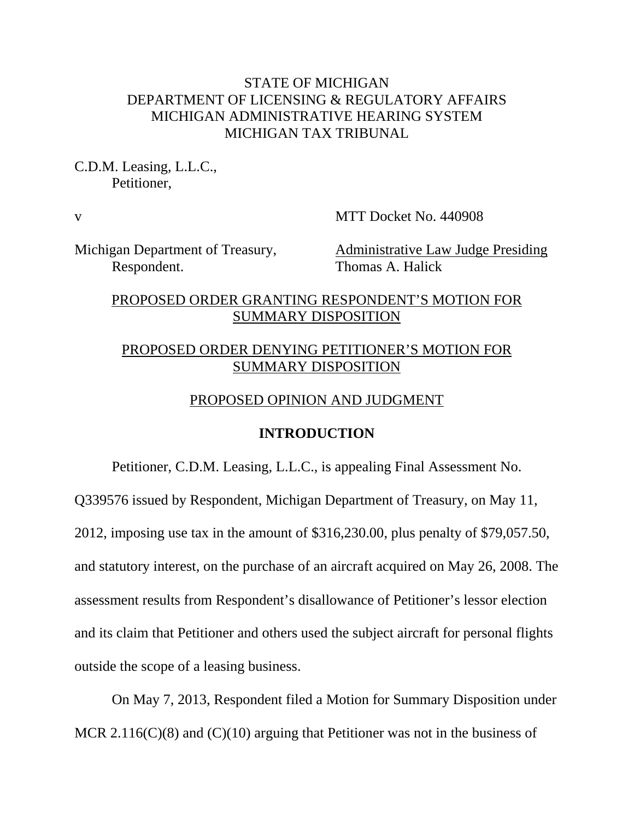## STATE OF MICHIGAN DEPARTMENT OF LICENSING & REGULATORY AFFAIRS MICHIGAN ADMINISTRATIVE HEARING SYSTEM MICHIGAN TAX TRIBUNAL

C.D.M. Leasing, L.L.C., Petitioner,

v MTT Docket No. 440908

Respondent. Thomas A. Halick

Michigan Department of Treasury, Administrative Law Judge Presiding

## PROPOSED ORDER GRANTING RESPONDENT'S MOTION FOR SUMMARY DISPOSITION

# PROPOSED ORDER DENYING PETITIONER'S MOTION FOR SUMMARY DISPOSITION

## PROPOSED OPINION AND JUDGMENT

### **INTRODUCTION**

Petitioner, C.D.M. Leasing, L.L.C., is appealing Final Assessment No.

Q339576 issued by Respondent, Michigan Department of Treasury, on May 11,

2012, imposing use tax in the amount of \$316,230.00, plus penalty of \$79,057.50,

and statutory interest, on the purchase of an aircraft acquired on May 26, 2008. The

assessment results from Respondent's disallowance of Petitioner's lessor election

and its claim that Petitioner and others used the subject aircraft for personal flights

outside the scope of a leasing business.

On May 7, 2013, Respondent filed a Motion for Summary Disposition under MCR 2.116(C)(8) and (C)(10) arguing that Petitioner was not in the business of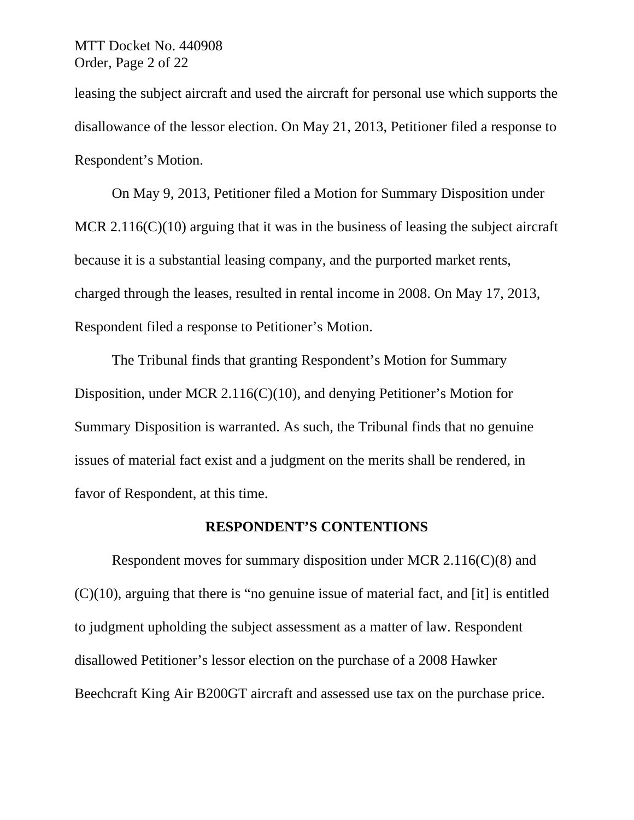MTT Docket No. 440908 Order, Page 2 of 22

leasing the subject aircraft and used the aircraft for personal use which supports the disallowance of the lessor election. On May 21, 2013, Petitioner filed a response to Respondent's Motion.

On May 9, 2013, Petitioner filed a Motion for Summary Disposition under MCR 2.116( $C(10)$ ) arguing that it was in the business of leasing the subject aircraft because it is a substantial leasing company, and the purported market rents, charged through the leases, resulted in rental income in 2008. On May 17, 2013, Respondent filed a response to Petitioner's Motion.

The Tribunal finds that granting Respondent's Motion for Summary Disposition, under MCR 2.116(C)(10), and denying Petitioner's Motion for Summary Disposition is warranted. As such, the Tribunal finds that no genuine issues of material fact exist and a judgment on the merits shall be rendered, in favor of Respondent, at this time.

### **RESPONDENT'S CONTENTIONS**

Respondent moves for summary disposition under MCR 2.116(C)(8) and (C)(10), arguing that there is "no genuine issue of material fact, and [it] is entitled to judgment upholding the subject assessment as a matter of law. Respondent disallowed Petitioner's lessor election on the purchase of a 2008 Hawker Beechcraft King Air B200GT aircraft and assessed use tax on the purchase price.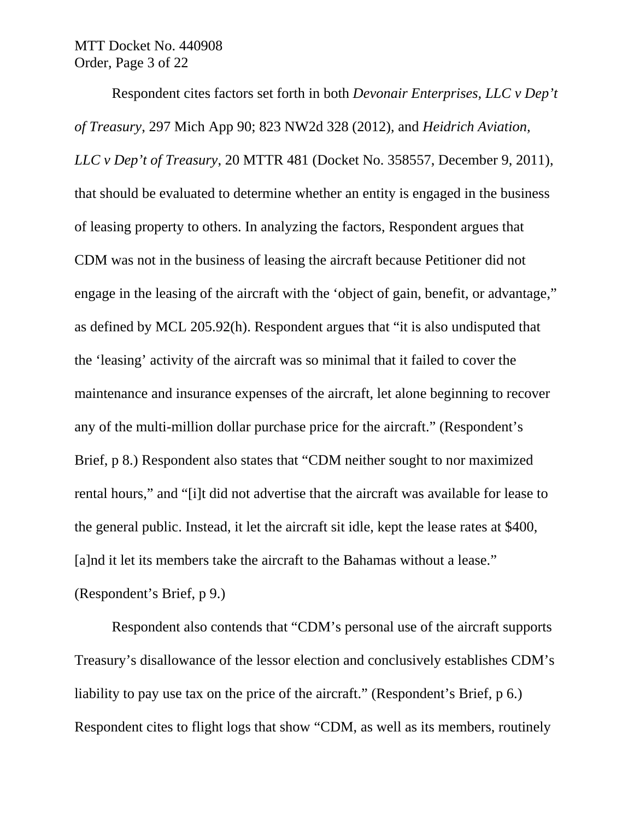MTT Docket No. 440908 Order, Page 3 of 22

Respondent cites factors set forth in both *Devonair Enterprises, LLC v Dep't of Treasury*, 297 Mich App 90; 823 NW2d 328 (2012), and *Heidrich Aviation, LLC v Dep't of Treasury*, 20 MTTR 481 (Docket No. 358557, December 9, 2011), that should be evaluated to determine whether an entity is engaged in the business of leasing property to others. In analyzing the factors, Respondent argues that CDM was not in the business of leasing the aircraft because Petitioner did not engage in the leasing of the aircraft with the 'object of gain, benefit, or advantage," as defined by MCL 205.92(h). Respondent argues that "it is also undisputed that the 'leasing' activity of the aircraft was so minimal that it failed to cover the maintenance and insurance expenses of the aircraft, let alone beginning to recover any of the multi-million dollar purchase price for the aircraft." (Respondent's Brief, p 8.) Respondent also states that "CDM neither sought to nor maximized rental hours," and "[i]t did not advertise that the aircraft was available for lease to the general public. Instead, it let the aircraft sit idle, kept the lease rates at \$400, [a]nd it let its members take the aircraft to the Bahamas without a lease." (Respondent's Brief, p 9.)

Respondent also contends that "CDM's personal use of the aircraft supports Treasury's disallowance of the lessor election and conclusively establishes CDM's liability to pay use tax on the price of the aircraft." (Respondent's Brief, p 6.) Respondent cites to flight logs that show "CDM, as well as its members, routinely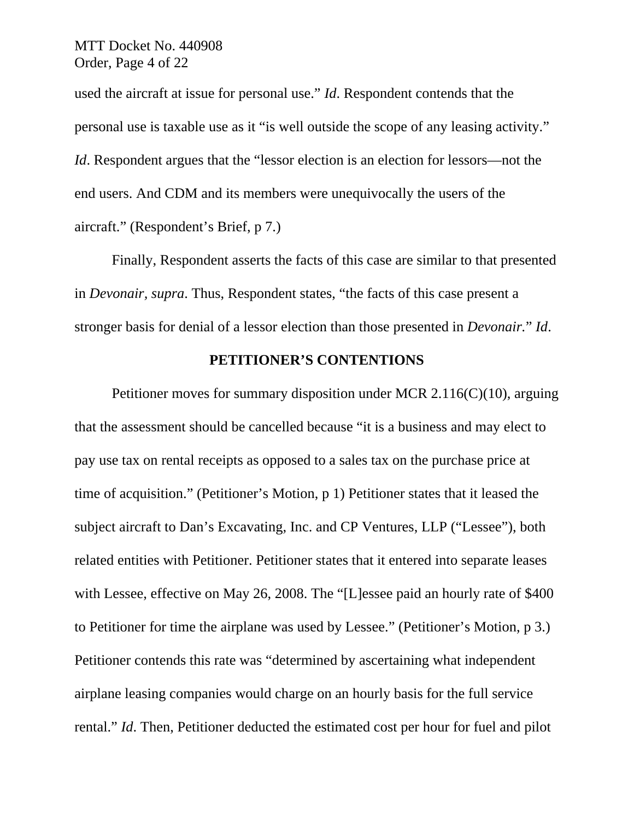used the aircraft at issue for personal use." *Id*. Respondent contends that the personal use is taxable use as it "is well outside the scope of any leasing activity." *Id*. Respondent argues that the "lessor election is an election for lessors—not the end users. And CDM and its members were unequivocally the users of the aircraft." (Respondent's Brief, p 7.)

Finally, Respondent asserts the facts of this case are similar to that presented in *Devonair, supra*. Thus, Respondent states, "the facts of this case present a stronger basis for denial of a lessor election than those presented in *Devonair.*" *Id*.

### **PETITIONER'S CONTENTIONS**

Petitioner moves for summary disposition under MCR 2.116(C)(10), arguing that the assessment should be cancelled because "it is a business and may elect to pay use tax on rental receipts as opposed to a sales tax on the purchase price at time of acquisition." (Petitioner's Motion, p 1) Petitioner states that it leased the subject aircraft to Dan's Excavating, Inc. and CP Ventures, LLP ("Lessee"), both related entities with Petitioner. Petitioner states that it entered into separate leases with Lessee, effective on May 26, 2008. The "[L]essee paid an hourly rate of \$400 to Petitioner for time the airplane was used by Lessee." (Petitioner's Motion, p 3.) Petitioner contends this rate was "determined by ascertaining what independent airplane leasing companies would charge on an hourly basis for the full service rental." *Id*. Then, Petitioner deducted the estimated cost per hour for fuel and pilot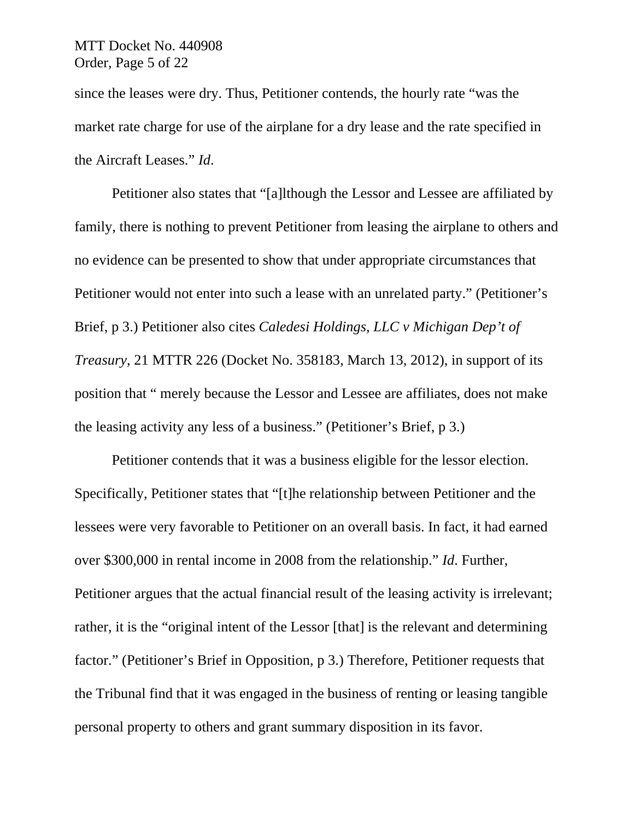MTT Docket No. 440908 Order, Page 5 of 22

since the leases were dry. Thus, Petitioner contends, the hourly rate "was the market rate charge for use of the airplane for a dry lease and the rate specified in the Aircraft Leases." *Id*.

Petitioner also states that "[a]lthough the Lessor and Lessee are affiliated by family, there is nothing to prevent Petitioner from leasing the airplane to others and no evidence can be presented to show that under appropriate circumstances that Petitioner would not enter into such a lease with an unrelated party." (Petitioner's Brief, p 3.) Petitioner also cites *Caledesi Holdings, LLC v Michigan Dep't of Treasury*, 21 MTTR 226 (Docket No. 358183, March 13, 2012), in support of its position that " merely because the Lessor and Lessee are affiliates, does not make the leasing activity any less of a business." (Petitioner's Brief, p 3.)

Petitioner contends that it was a business eligible for the lessor election. Specifically, Petitioner states that "[t]he relationship between Petitioner and the lessees were very favorable to Petitioner on an overall basis. In fact, it had earned over \$300,000 in rental income in 2008 from the relationship." *Id*. Further, Petitioner argues that the actual financial result of the leasing activity is irrelevant; rather, it is the "original intent of the Lessor [that] is the relevant and determining factor." (Petitioner's Brief in Opposition, p 3.) Therefore, Petitioner requests that the Tribunal find that it was engaged in the business of renting or leasing tangible personal property to others and grant summary disposition in its favor.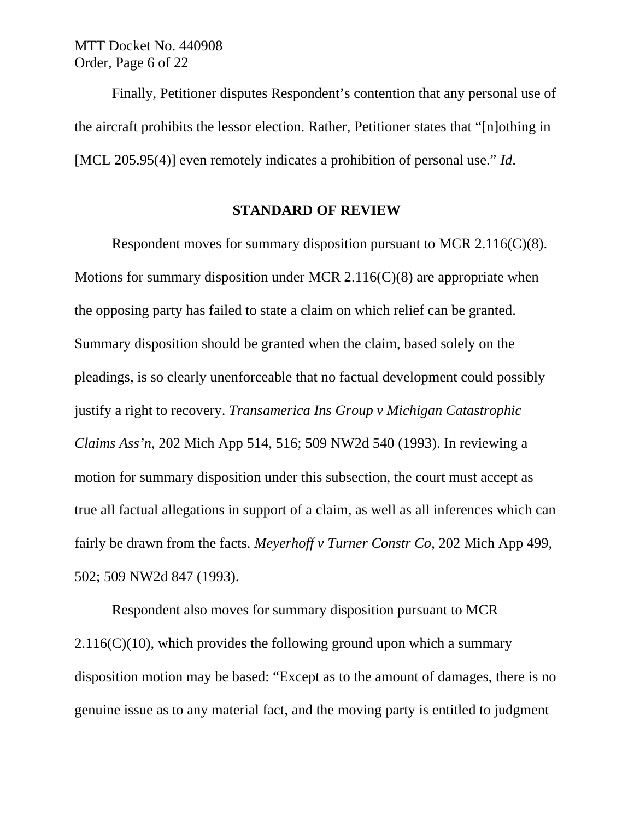MTT Docket No. 440908 Order, Page 6 of 22

Finally, Petitioner disputes Respondent's contention that any personal use of the aircraft prohibits the lessor election. Rather, Petitioner states that "[n]othing in [MCL 205.95(4)] even remotely indicates a prohibition of personal use." *Id*.

### **STANDARD OF REVIEW**

Respondent moves for summary disposition pursuant to MCR 2.116(C)(8). Motions for summary disposition under MCR 2.116 $(C)(8)$  are appropriate when the opposing party has failed to state a claim on which relief can be granted. Summary disposition should be granted when the claim, based solely on the pleadings, is so clearly unenforceable that no factual development could possibly justify a right to recovery. *Transamerica Ins Group v Michigan Catastrophic Claims Ass'n*, 202 Mich App 514, 516; 509 NW2d 540 (1993). In reviewing a motion for summary disposition under this subsection, the court must accept as true all factual allegations in support of a claim, as well as all inferences which can fairly be drawn from the facts. *Meyerhoff v Turner Constr Co*, 202 Mich App 499, 502; 509 NW2d 847 (1993).

Respondent also moves for summary disposition pursuant to MCR  $2.116(C)(10)$ , which provides the following ground upon which a summary disposition motion may be based: "Except as to the amount of damages, there is no genuine issue as to any material fact, and the moving party is entitled to judgment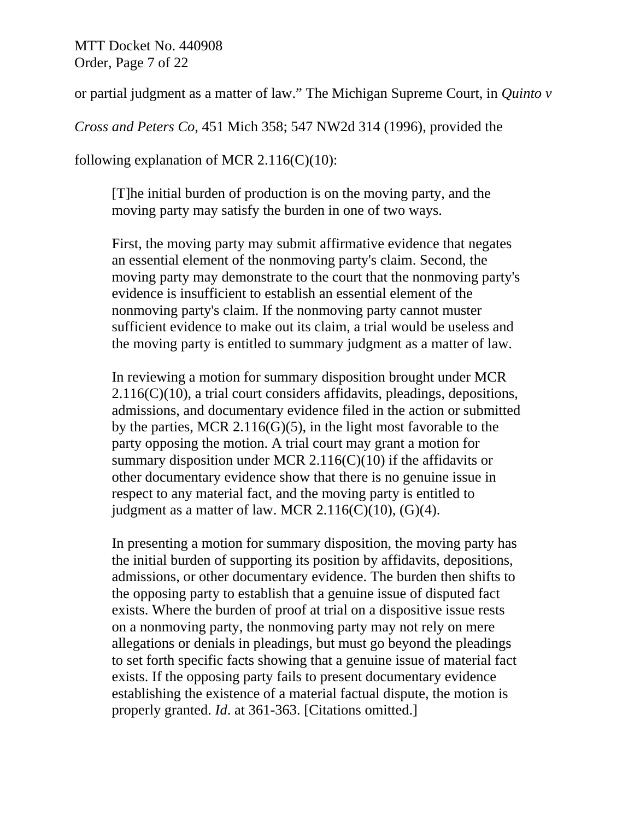MTT Docket No. 440908 Order, Page 7 of 22

or partial judgment as a matter of law." The Michigan Supreme Court, in *Quinto v*

*Cross and Peters Co*, 451 Mich 358; 547 NW2d 314 (1996), provided the

following explanation of MCR 2.116(C)(10):

[T]he initial burden of production is on the moving party, and the moving party may satisfy the burden in one of two ways.

First, the moving party may submit affirmative evidence that negates an essential element of the nonmoving party's claim. Second, the moving party may demonstrate to the court that the nonmoving party's evidence is insufficient to establish an essential element of the nonmoving party's claim. If the nonmoving party cannot muster sufficient evidence to make out its claim, a trial would be useless and the moving party is entitled to summary judgment as a matter of law.

In reviewing a motion for summary disposition brought under MCR  $2.116(C)(10)$ , a trial court considers affidavits, pleadings, depositions, admissions, and documentary evidence filed in the action or submitted by the parties, MCR 2.116 $(G)(5)$ , in the light most favorable to the party opposing the motion. A trial court may grant a motion for summary disposition under MCR 2.116( $C(10)$ ) if the affidavits or other documentary evidence show that there is no genuine issue in respect to any material fact, and the moving party is entitled to judgment as a matter of law. MCR  $2.116(C)(10)$ , (G)(4).

In presenting a motion for summary disposition, the moving party has the initial burden of supporting its position by affidavits, depositions, admissions, or other documentary evidence. The burden then shifts to the opposing party to establish that a genuine issue of disputed fact exists. Where the burden of proof at trial on a dispositive issue rests on a nonmoving party, the nonmoving party may not rely on mere allegations or denials in pleadings, but must go beyond the pleadings to set forth specific facts showing that a genuine issue of material fact exists. If the opposing party fails to present documentary evidence establishing the existence of a material factual dispute, the motion is properly granted. *Id*. at 361-363. [Citations omitted.]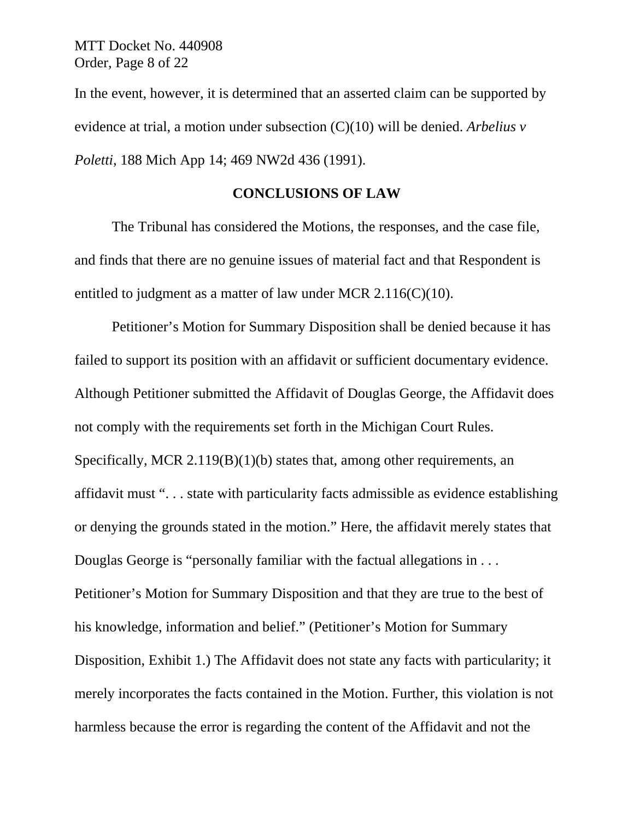MTT Docket No. 440908 Order, Page 8 of 22

In the event, however, it is determined that an asserted claim can be supported by evidence at trial, a motion under subsection (C)(10) will be denied. *Arbelius v Poletti*, 188 Mich App 14; 469 NW2d 436 (1991).

#### **CONCLUSIONS OF LAW**

The Tribunal has considered the Motions, the responses, and the case file, and finds that there are no genuine issues of material fact and that Respondent is entitled to judgment as a matter of law under MCR 2.116(C)(10).

Petitioner's Motion for Summary Disposition shall be denied because it has failed to support its position with an affidavit or sufficient documentary evidence. Although Petitioner submitted the Affidavit of Douglas George, the Affidavit does not comply with the requirements set forth in the Michigan Court Rules. Specifically, MCR 2.119(B)(1)(b) states that, among other requirements, an affidavit must ". . . state with particularity facts admissible as evidence establishing or denying the grounds stated in the motion." Here, the affidavit merely states that Douglas George is "personally familiar with the factual allegations in . . . Petitioner's Motion for Summary Disposition and that they are true to the best of his knowledge, information and belief." (Petitioner's Motion for Summary Disposition, Exhibit 1.) The Affidavit does not state any facts with particularity; it merely incorporates the facts contained in the Motion. Further, this violation is not harmless because the error is regarding the content of the Affidavit and not the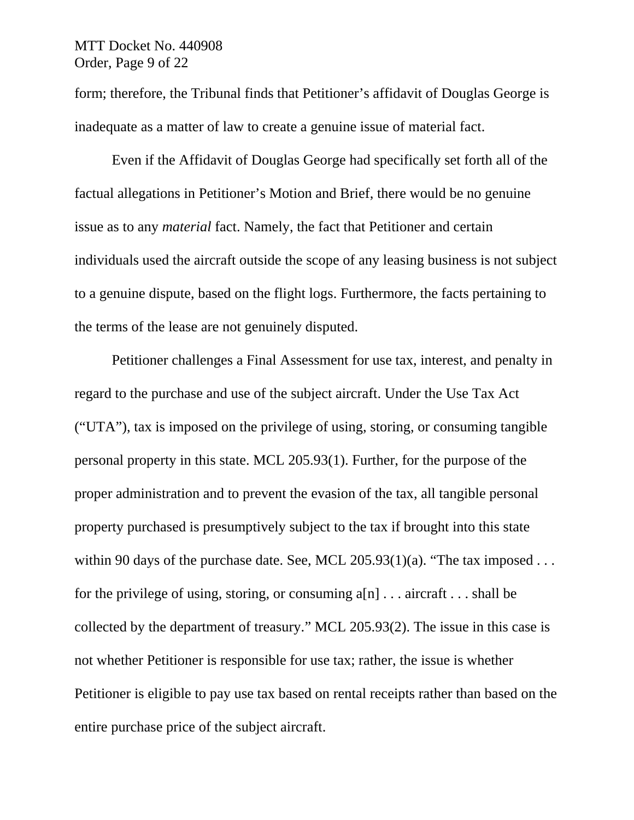## MTT Docket No. 440908 Order, Page 9 of 22

form; therefore, the Tribunal finds that Petitioner's affidavit of Douglas George is inadequate as a matter of law to create a genuine issue of material fact.

Even if the Affidavit of Douglas George had specifically set forth all of the factual allegations in Petitioner's Motion and Brief, there would be no genuine issue as to any *material* fact. Namely, the fact that Petitioner and certain individuals used the aircraft outside the scope of any leasing business is not subject to a genuine dispute, based on the flight logs. Furthermore, the facts pertaining to the terms of the lease are not genuinely disputed.

Petitioner challenges a Final Assessment for use tax, interest, and penalty in regard to the purchase and use of the subject aircraft. Under the Use Tax Act ("UTA"), tax is imposed on the privilege of using, storing, or consuming tangible personal property in this state. MCL 205.93(1). Further, for the purpose of the proper administration and to prevent the evasion of the tax, all tangible personal property purchased is presumptively subject to the tax if brought into this state within 90 days of the purchase date. See, MCL  $205.93(1)(a)$ . "The tax imposed ... for the privilege of using, storing, or consuming  $a[n]$ ... aircraft... shall be collected by the department of treasury." MCL 205.93(2). The issue in this case is not whether Petitioner is responsible for use tax; rather, the issue is whether Petitioner is eligible to pay use tax based on rental receipts rather than based on the entire purchase price of the subject aircraft.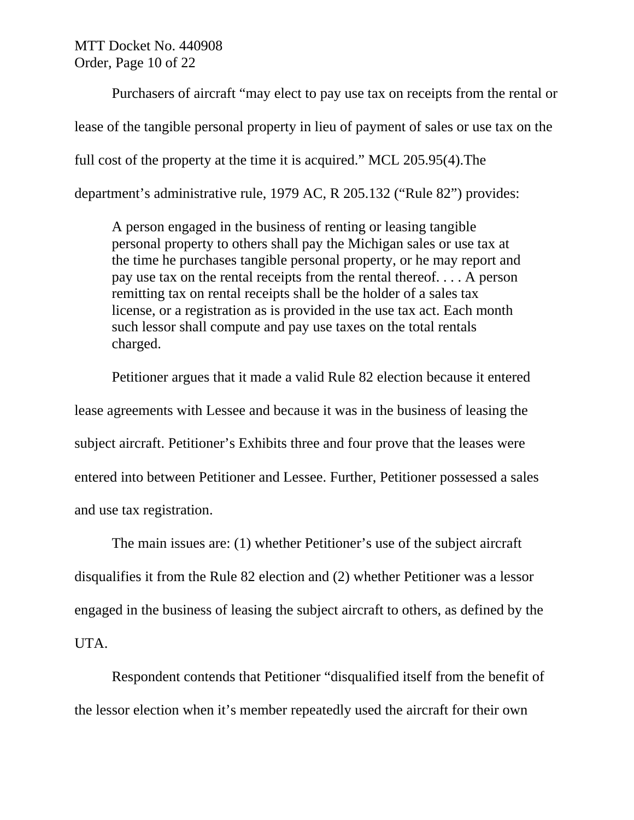MTT Docket No. 440908 Order, Page 10 of 22

Purchasers of aircraft "may elect to pay use tax on receipts from the rental or lease of the tangible personal property in lieu of payment of sales or use tax on the full cost of the property at the time it is acquired." MCL 205.95(4).The department's administrative rule, 1979 AC, R 205.132 ("Rule 82") provides:

A person engaged in the business of renting or leasing tangible personal property to others shall pay the Michigan sales or use tax at the time he purchases tangible personal property, or he may report and pay use tax on the rental receipts from the rental thereof. . . . A person remitting tax on rental receipts shall be the holder of a sales tax license, or a registration as is provided in the use tax act. Each month such lessor shall compute and pay use taxes on the total rentals charged.

Petitioner argues that it made a valid Rule 82 election because it entered lease agreements with Lessee and because it was in the business of leasing the subject aircraft. Petitioner's Exhibits three and four prove that the leases were entered into between Petitioner and Lessee. Further, Petitioner possessed a sales and use tax registration.

The main issues are: (1) whether Petitioner's use of the subject aircraft disqualifies it from the Rule 82 election and (2) whether Petitioner was a lessor engaged in the business of leasing the subject aircraft to others, as defined by the UTA.

Respondent contends that Petitioner "disqualified itself from the benefit of the lessor election when it's member repeatedly used the aircraft for their own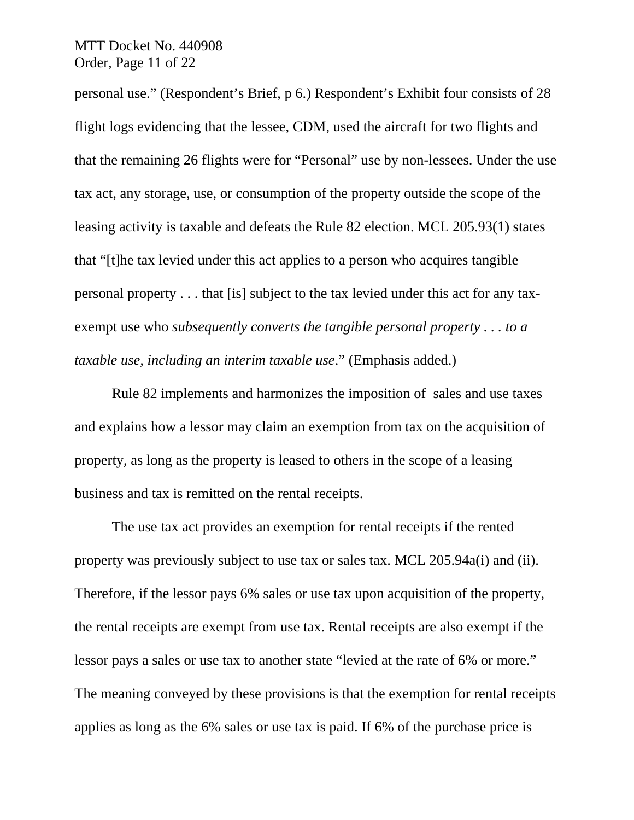MTT Docket No. 440908 Order, Page 11 of 22

personal use." (Respondent's Brief, p 6.) Respondent's Exhibit four consists of 28 flight logs evidencing that the lessee, CDM, used the aircraft for two flights and that the remaining 26 flights were for "Personal" use by non-lessees. Under the use tax act, any storage, use, or consumption of the property outside the scope of the leasing activity is taxable and defeats the Rule 82 election. MCL 205.93(1) states that "[t]he tax levied under this act applies to a person who acquires tangible personal property . . . that [is] subject to the tax levied under this act for any taxexempt use who *subsequently converts the tangible personal property . . . to a taxable use, including an interim taxable use*." (Emphasis added.)

Rule 82 implements and harmonizes the imposition of sales and use taxes and explains how a lessor may claim an exemption from tax on the acquisition of property, as long as the property is leased to others in the scope of a leasing business and tax is remitted on the rental receipts.

The use tax act provides an exemption for rental receipts if the rented property was previously subject to use tax or sales tax. MCL 205.94a(i) and (ii). Therefore, if the lessor pays 6% sales or use tax upon acquisition of the property, the rental receipts are exempt from use tax. Rental receipts are also exempt if the lessor pays a sales or use tax to another state "levied at the rate of 6% or more." The meaning conveyed by these provisions is that the exemption for rental receipts applies as long as the 6% sales or use tax is paid. If 6% of the purchase price is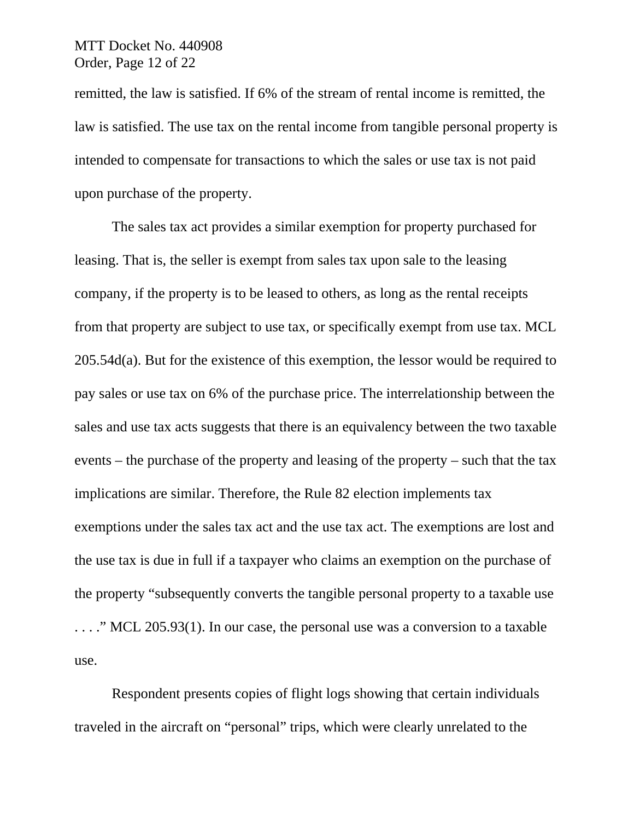## MTT Docket No. 440908 Order, Page 12 of 22

remitted, the law is satisfied. If 6% of the stream of rental income is remitted, the law is satisfied. The use tax on the rental income from tangible personal property is intended to compensate for transactions to which the sales or use tax is not paid upon purchase of the property.

The sales tax act provides a similar exemption for property purchased for leasing. That is, the seller is exempt from sales tax upon sale to the leasing company, if the property is to be leased to others, as long as the rental receipts from that property are subject to use tax, or specifically exempt from use tax. MCL 205.54d(a). But for the existence of this exemption, the lessor would be required to pay sales or use tax on 6% of the purchase price. The interrelationship between the sales and use tax acts suggests that there is an equivalency between the two taxable events – the purchase of the property and leasing of the property – such that the tax implications are similar. Therefore, the Rule 82 election implements tax exemptions under the sales tax act and the use tax act. The exemptions are lost and the use tax is due in full if a taxpayer who claims an exemption on the purchase of the property "subsequently converts the tangible personal property to a taxable use . . . ." MCL 205.93(1). In our case, the personal use was a conversion to a taxable use.

Respondent presents copies of flight logs showing that certain individuals traveled in the aircraft on "personal" trips, which were clearly unrelated to the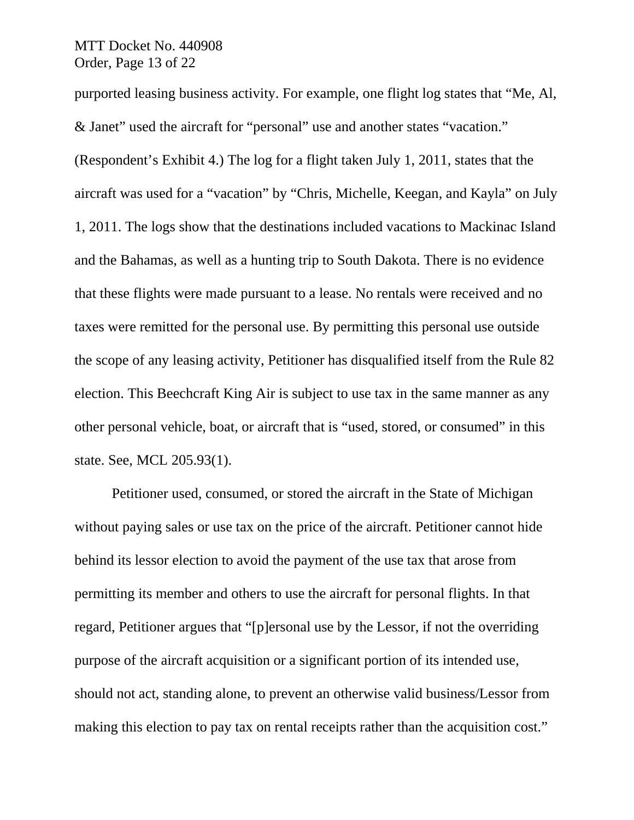MTT Docket No. 440908 Order, Page 13 of 22

purported leasing business activity. For example, one flight log states that "Me, Al, & Janet" used the aircraft for "personal" use and another states "vacation." (Respondent's Exhibit 4.) The log for a flight taken July 1, 2011, states that the aircraft was used for a "vacation" by "Chris, Michelle, Keegan, and Kayla" on July 1, 2011. The logs show that the destinations included vacations to Mackinac Island and the Bahamas, as well as a hunting trip to South Dakota. There is no evidence that these flights were made pursuant to a lease. No rentals were received and no taxes were remitted for the personal use. By permitting this personal use outside the scope of any leasing activity, Petitioner has disqualified itself from the Rule 82 election. This Beechcraft King Air is subject to use tax in the same manner as any other personal vehicle, boat, or aircraft that is "used, stored, or consumed" in this state. See, MCL 205.93(1).

Petitioner used, consumed, or stored the aircraft in the State of Michigan without paying sales or use tax on the price of the aircraft. Petitioner cannot hide behind its lessor election to avoid the payment of the use tax that arose from permitting its member and others to use the aircraft for personal flights. In that regard, Petitioner argues that "[p]ersonal use by the Lessor, if not the overriding purpose of the aircraft acquisition or a significant portion of its intended use, should not act, standing alone, to prevent an otherwise valid business/Lessor from making this election to pay tax on rental receipts rather than the acquisition cost."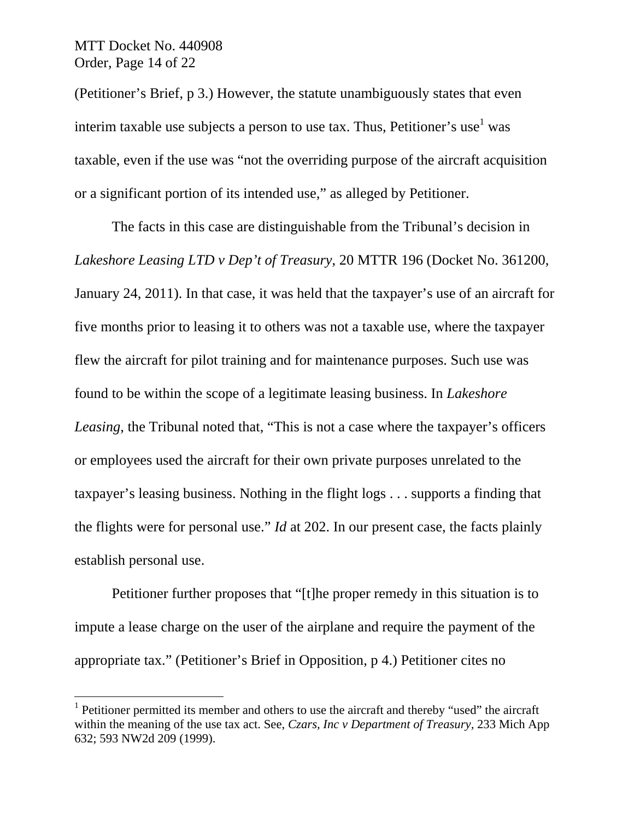$\overline{a}$ 

(Petitioner's Brief, p 3.) However, the statute unambiguously states that even interim taxable use subjects a person to use tax. Thus, Petitioner's use<sup>1</sup> was taxable, even if the use was "not the overriding purpose of the aircraft acquisition or a significant portion of its intended use," as alleged by Petitioner.

The facts in this case are distinguishable from the Tribunal's decision in *Lakeshore Leasing LTD v Dep't of Treasury*, 20 MTTR 196 (Docket No. 361200, January 24, 2011). In that case, it was held that the taxpayer's use of an aircraft for five months prior to leasing it to others was not a taxable use, where the taxpayer flew the aircraft for pilot training and for maintenance purposes. Such use was found to be within the scope of a legitimate leasing business. In *Lakeshore Leasing*, the Tribunal noted that, "This is not a case where the taxpayer's officers or employees used the aircraft for their own private purposes unrelated to the taxpayer's leasing business. Nothing in the flight logs . . . supports a finding that the flights were for personal use." *Id* at 202. In our present case, the facts plainly establish personal use.

Petitioner further proposes that "[t]he proper remedy in this situation is to impute a lease charge on the user of the airplane and require the payment of the appropriate tax." (Petitioner's Brief in Opposition, p 4.) Petitioner cites no

<sup>&</sup>lt;sup>1</sup> Petitioner permitted its member and others to use the aircraft and thereby "used" the aircraft within the meaning of the use tax act. See, *Czars, Inc v Department of Treasury,* 233 Mich App 632; 593 NW2d 209 (1999).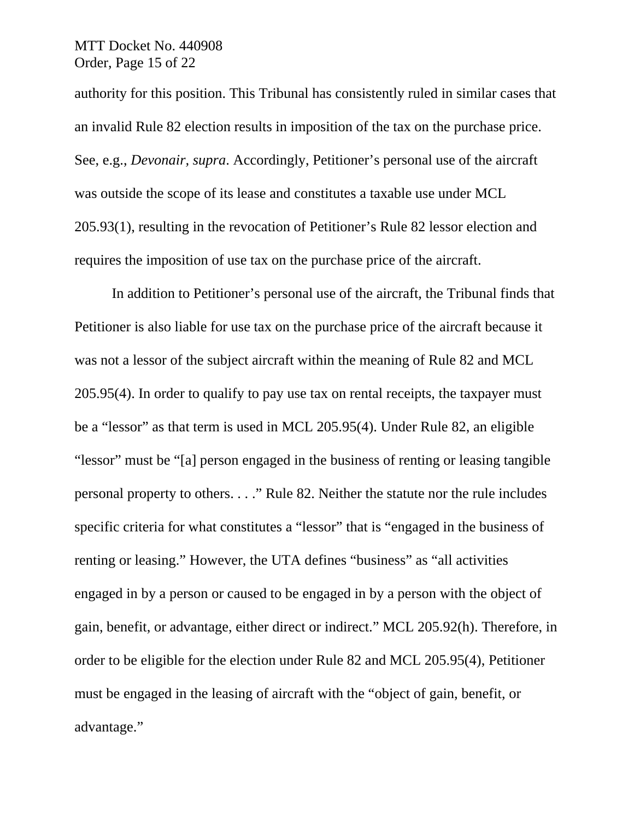## MTT Docket No. 440908 Order, Page 15 of 22

authority for this position. This Tribunal has consistently ruled in similar cases that an invalid Rule 82 election results in imposition of the tax on the purchase price. See, e.g., *Devonair, supra*. Accordingly, Petitioner's personal use of the aircraft was outside the scope of its lease and constitutes a taxable use under MCL 205.93(1), resulting in the revocation of Petitioner's Rule 82 lessor election and requires the imposition of use tax on the purchase price of the aircraft.

In addition to Petitioner's personal use of the aircraft, the Tribunal finds that Petitioner is also liable for use tax on the purchase price of the aircraft because it was not a lessor of the subject aircraft within the meaning of Rule 82 and MCL 205.95(4). In order to qualify to pay use tax on rental receipts, the taxpayer must be a "lessor" as that term is used in MCL 205.95(4). Under Rule 82, an eligible "lessor" must be "[a] person engaged in the business of renting or leasing tangible personal property to others. . . ." Rule 82. Neither the statute nor the rule includes specific criteria for what constitutes a "lessor" that is "engaged in the business of renting or leasing." However, the UTA defines "business" as "all activities engaged in by a person or caused to be engaged in by a person with the object of gain, benefit, or advantage, either direct or indirect." MCL 205.92(h). Therefore, in order to be eligible for the election under Rule 82 and MCL 205.95(4), Petitioner must be engaged in the leasing of aircraft with the "object of gain, benefit, or advantage."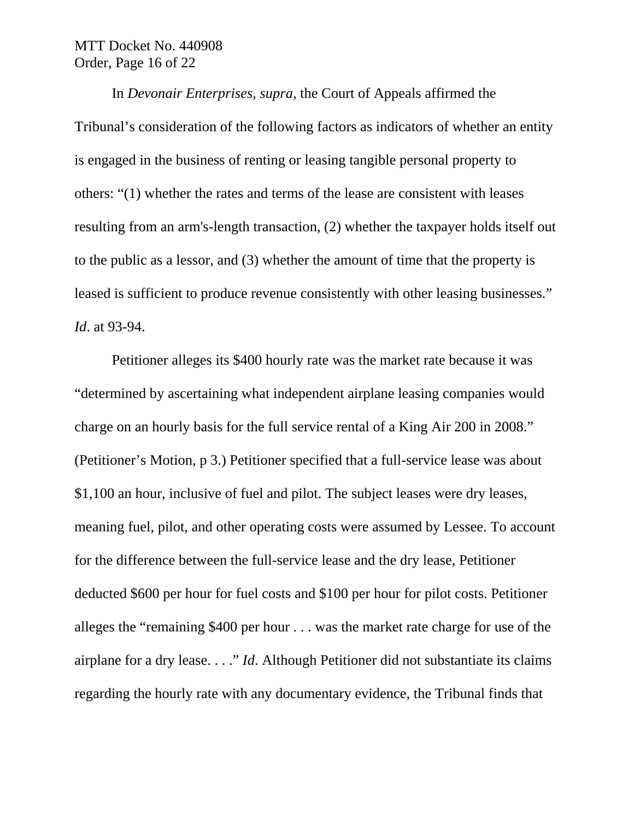MTT Docket No. 440908 Order, Page 16 of 22

In *Devonair Enterprises, supra,* the Court of Appeals affirmed the Tribunal's consideration of the following factors as indicators of whether an entity is engaged in the business of renting or leasing tangible personal property to others: "(1) whether the rates and terms of the lease are consistent with leases resulting from an arm's-length transaction, (2) whether the taxpayer holds itself out to the public as a lessor, and (3) whether the amount of time that the property is leased is sufficient to produce revenue consistently with other leasing businesses." *Id*. at 93-94.

Petitioner alleges its \$400 hourly rate was the market rate because it was "determined by ascertaining what independent airplane leasing companies would charge on an hourly basis for the full service rental of a King Air 200 in 2008." (Petitioner's Motion, p 3.) Petitioner specified that a full-service lease was about \$1,100 an hour, inclusive of fuel and pilot. The subject leases were dry leases, meaning fuel, pilot, and other operating costs were assumed by Lessee. To account for the difference between the full-service lease and the dry lease, Petitioner deducted \$600 per hour for fuel costs and \$100 per hour for pilot costs. Petitioner alleges the "remaining \$400 per hour . . . was the market rate charge for use of the airplane for a dry lease. . . ." *Id*. Although Petitioner did not substantiate its claims regarding the hourly rate with any documentary evidence, the Tribunal finds that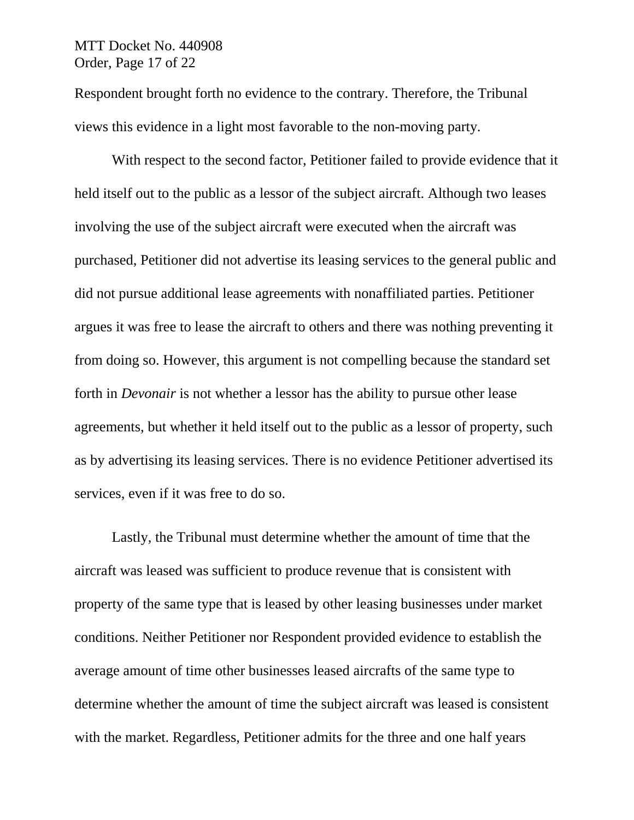MTT Docket No. 440908 Order, Page 17 of 22

Respondent brought forth no evidence to the contrary. Therefore, the Tribunal views this evidence in a light most favorable to the non-moving party*.*

 With respect to the second factor, Petitioner failed to provide evidence that it held itself out to the public as a lessor of the subject aircraft. Although two leases involving the use of the subject aircraft were executed when the aircraft was purchased, Petitioner did not advertise its leasing services to the general public and did not pursue additional lease agreements with nonaffiliated parties. Petitioner argues it was free to lease the aircraft to others and there was nothing preventing it from doing so. However, this argument is not compelling because the standard set forth in *Devonair* is not whether a lessor has the ability to pursue other lease agreements, but whether it held itself out to the public as a lessor of property, such as by advertising its leasing services. There is no evidence Petitioner advertised its services, even if it was free to do so.

Lastly, the Tribunal must determine whether the amount of time that the aircraft was leased was sufficient to produce revenue that is consistent with property of the same type that is leased by other leasing businesses under market conditions. Neither Petitioner nor Respondent provided evidence to establish the average amount of time other businesses leased aircrafts of the same type to determine whether the amount of time the subject aircraft was leased is consistent with the market. Regardless, Petitioner admits for the three and one half years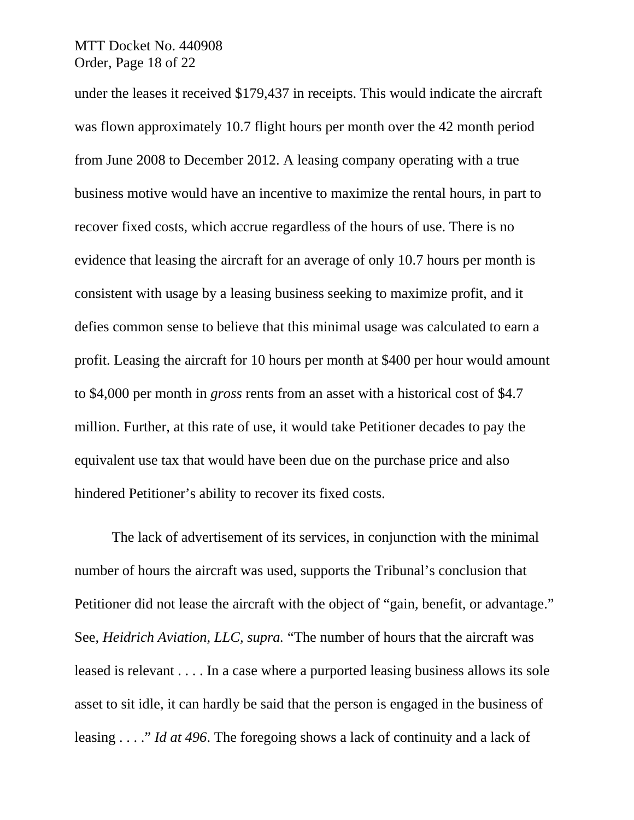## MTT Docket No. 440908 Order, Page 18 of 22

under the leases it received \$179,437 in receipts. This would indicate the aircraft was flown approximately 10.7 flight hours per month over the 42 month period from June 2008 to December 2012. A leasing company operating with a true business motive would have an incentive to maximize the rental hours, in part to recover fixed costs, which accrue regardless of the hours of use. There is no evidence that leasing the aircraft for an average of only 10.7 hours per month is consistent with usage by a leasing business seeking to maximize profit, and it defies common sense to believe that this minimal usage was calculated to earn a profit. Leasing the aircraft for 10 hours per month at \$400 per hour would amount to \$4,000 per month in *gross* rents from an asset with a historical cost of \$4.7 million. Further, at this rate of use, it would take Petitioner decades to pay the equivalent use tax that would have been due on the purchase price and also hindered Petitioner's ability to recover its fixed costs.

The lack of advertisement of its services, in conjunction with the minimal number of hours the aircraft was used, supports the Tribunal's conclusion that Petitioner did not lease the aircraft with the object of "gain, benefit, or advantage." See, *Heidrich Aviation, LLC, supra.* "The number of hours that the aircraft was leased is relevant . . . . In a case where a purported leasing business allows its sole asset to sit idle, it can hardly be said that the person is engaged in the business of leasing . . . ." *Id at 496*. The foregoing shows a lack of continuity and a lack of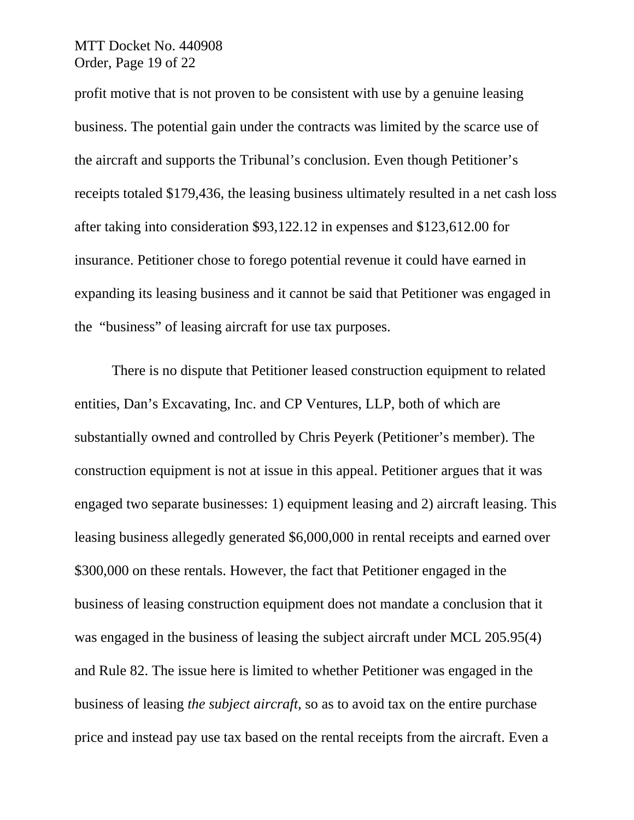MTT Docket No. 440908 Order, Page 19 of 22

profit motive that is not proven to be consistent with use by a genuine leasing business. The potential gain under the contracts was limited by the scarce use of the aircraft and supports the Tribunal's conclusion. Even though Petitioner's receipts totaled \$179,436, the leasing business ultimately resulted in a net cash loss after taking into consideration \$93,122.12 in expenses and \$123,612.00 for insurance. Petitioner chose to forego potential revenue it could have earned in expanding its leasing business and it cannot be said that Petitioner was engaged in the "business" of leasing aircraft for use tax purposes.

There is no dispute that Petitioner leased construction equipment to related entities, Dan's Excavating, Inc. and CP Ventures, LLP, both of which are substantially owned and controlled by Chris Peyerk (Petitioner's member). The construction equipment is not at issue in this appeal. Petitioner argues that it was engaged two separate businesses: 1) equipment leasing and 2) aircraft leasing. This leasing business allegedly generated \$6,000,000 in rental receipts and earned over \$300,000 on these rentals. However, the fact that Petitioner engaged in the business of leasing construction equipment does not mandate a conclusion that it was engaged in the business of leasing the subject aircraft under MCL 205.95(4) and Rule 82. The issue here is limited to whether Petitioner was engaged in the business of leasing *the subject aircraft,* so as to avoid tax on the entire purchase price and instead pay use tax based on the rental receipts from the aircraft. Even a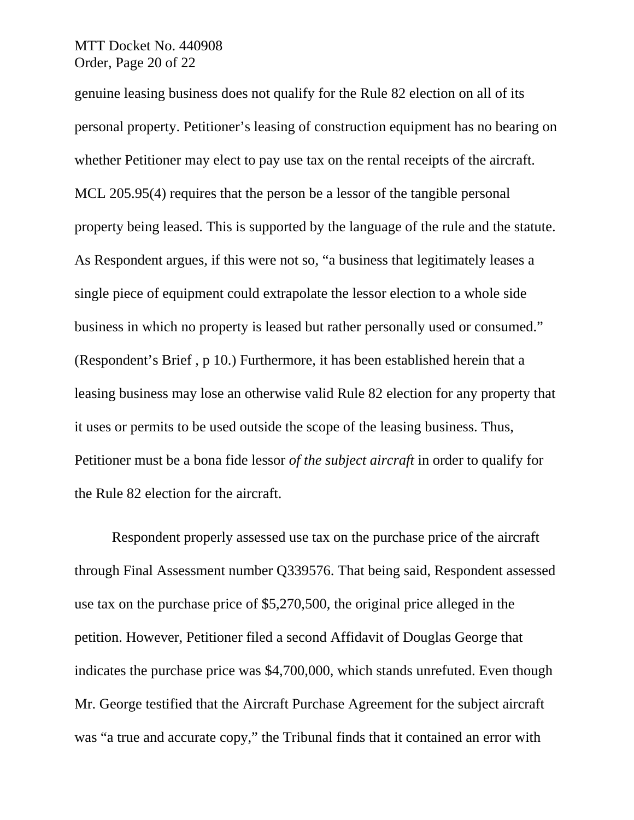MTT Docket No. 440908 Order, Page 20 of 22

genuine leasing business does not qualify for the Rule 82 election on all of its personal property. Petitioner's leasing of construction equipment has no bearing on whether Petitioner may elect to pay use tax on the rental receipts of the aircraft. MCL 205.95(4) requires that the person be a lessor of the tangible personal property being leased. This is supported by the language of the rule and the statute. As Respondent argues, if this were not so, "a business that legitimately leases a single piece of equipment could extrapolate the lessor election to a whole side business in which no property is leased but rather personally used or consumed." (Respondent's Brief , p 10.) Furthermore, it has been established herein that a leasing business may lose an otherwise valid Rule 82 election for any property that it uses or permits to be used outside the scope of the leasing business. Thus, Petitioner must be a bona fide lessor *of the subject aircraft* in order to qualify for the Rule 82 election for the aircraft.

Respondent properly assessed use tax on the purchase price of the aircraft through Final Assessment number Q339576. That being said, Respondent assessed use tax on the purchase price of \$5,270,500, the original price alleged in the petition. However, Petitioner filed a second Affidavit of Douglas George that indicates the purchase price was \$4,700,000, which stands unrefuted. Even though Mr. George testified that the Aircraft Purchase Agreement for the subject aircraft was "a true and accurate copy," the Tribunal finds that it contained an error with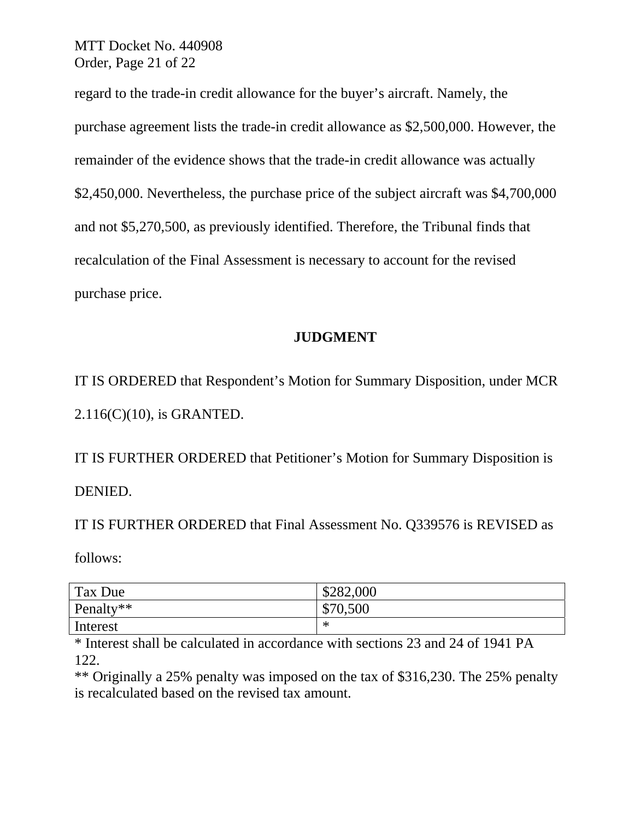MTT Docket No. 440908 Order, Page 21 of 22

regard to the trade-in credit allowance for the buyer's aircraft. Namely, the purchase agreement lists the trade-in credit allowance as \$2,500,000. However, the remainder of the evidence shows that the trade-in credit allowance was actually \$2,450,000. Nevertheless, the purchase price of the subject aircraft was \$4,700,000 and not \$5,270,500, as previously identified. Therefore, the Tribunal finds that recalculation of the Final Assessment is necessary to account for the revised purchase price.

# **JUDGMENT**

IT IS ORDERED that Respondent's Motion for Summary Disposition, under MCR 2.116(C)(10), is GRANTED.

IT IS FURTHER ORDERED that Petitioner's Motion for Summary Disposition is DENIED.

IT IS FURTHER ORDERED that Final Assessment No. Q339576 is REVISED as follows:

| Tax Due   | \$282,000 |
|-----------|-----------|
| Penalty** | \$70,500  |
| Interest  | ∗         |

\* Interest shall be calculated in accordance with sections 23 and 24 of 1941 PA 122.

\*\* Originally a 25% penalty was imposed on the tax of \$316,230. The 25% penalty is recalculated based on the revised tax amount.